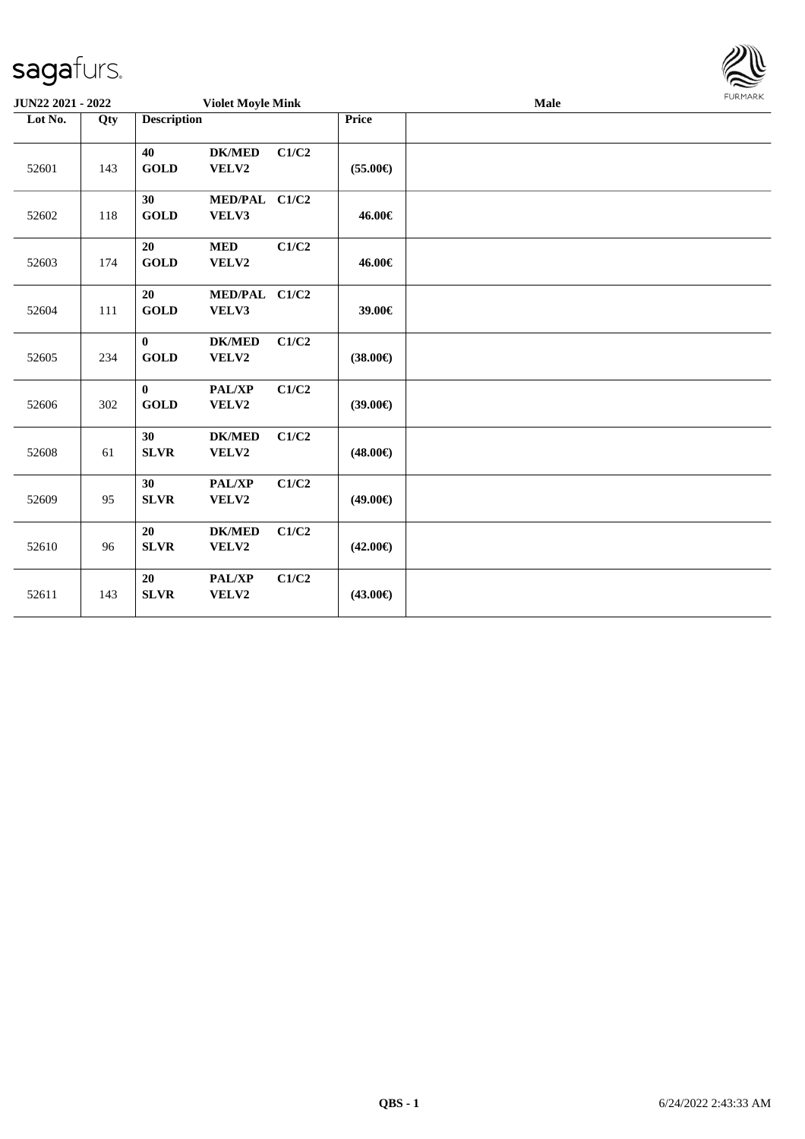| <b>JUN22 2021 - 2022</b> |     |                             | <b>Violet Moyle Mink</b> |       |                   | <b>Male</b> | FURMARK |
|--------------------------|-----|-----------------------------|--------------------------|-------|-------------------|-------------|---------|
| Lot No.                  | Qty | <b>Description</b>          |                          |       | Price             |             |         |
| 52601                    | 143 | 40<br><b>GOLD</b>           | <b>DK/MED</b><br>VELV2   | C1/C2 | $(55.00\epsilon)$ |             |         |
| 52602                    | 118 | 30<br><b>GOLD</b>           | MED/PAL C1/C2<br>VELV3   |       | 46.00€            |             |         |
| 52603                    | 174 | 20<br>$\operatorname{GOLD}$ | <b>MED</b><br>VELV2      | C1/C2 | 46.00€            |             |         |
| 52604                    | 111 | 20<br><b>GOLD</b>           | MED/PAL C1/C2<br>VELV3   |       | 39.00€            |             |         |
| 52605                    | 234 | $\bf{0}$<br><b>GOLD</b>     | <b>DK/MED</b><br>VELV2   | C1/C2 | $(38.00\epsilon)$ |             |         |
| 52606                    | 302 | $\bf{0}$<br><b>GOLD</b>     | PAL/XP<br>VELV2          | C1/C2 | $(39.00\epsilon)$ |             |         |
| 52608                    | 61  | 30<br><b>SLVR</b>           | <b>DK/MED</b><br>VELV2   | C1/C2 | $(48.00\epsilon)$ |             |         |
| 52609                    | 95  | 30<br><b>SLVR</b>           | <b>PAL/XP</b><br>VELV2   | C1/C2 | $(49.00\epsilon)$ |             |         |
| 52610                    | 96  | 20<br><b>SLVR</b>           | <b>DK/MED</b><br>VELV2   | C1/C2 | $(42.00\epsilon)$ |             |         |
| 52611                    | 143 | 20<br><b>SLVR</b>           | PAL/XP<br>VELV2          | C1/C2 | $(43.00\epsilon)$ |             |         |

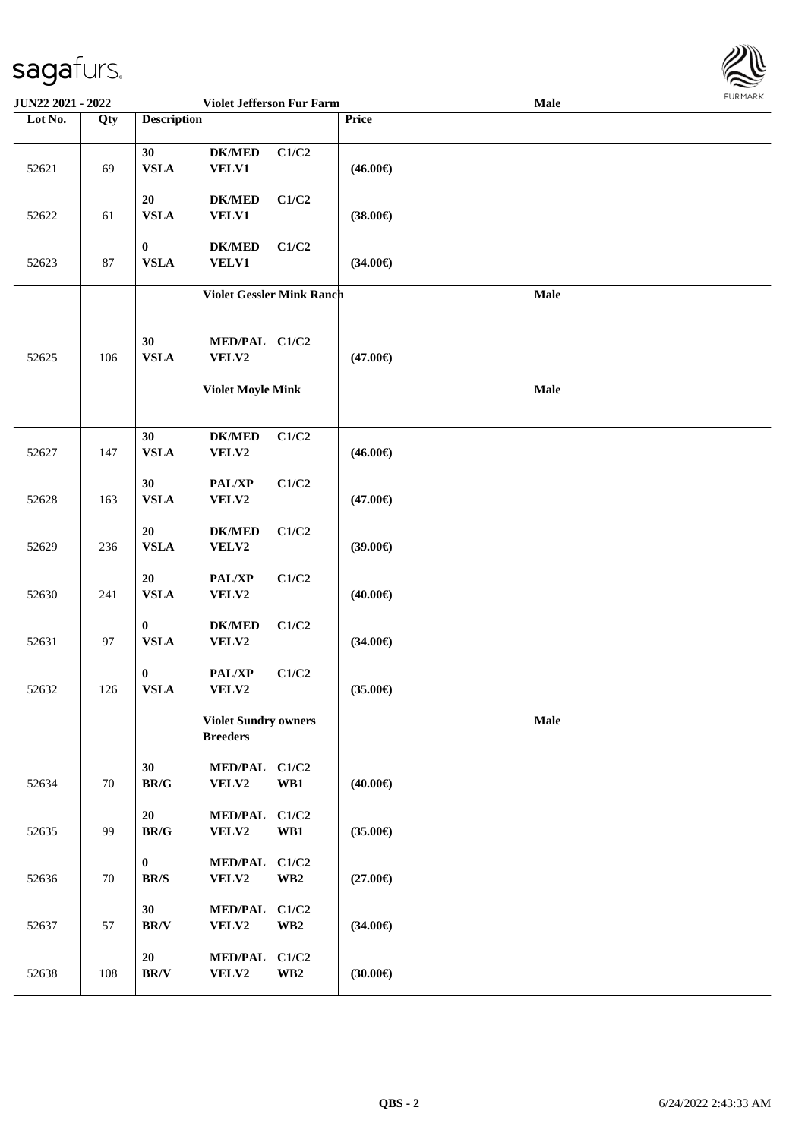

| <b>JUN22 2021 - 2022</b> |     |                                                | Violet Jefferson Fur Farm      |                                  |                   | Male        | FUNI IMNN |
|--------------------------|-----|------------------------------------------------|--------------------------------|----------------------------------|-------------------|-------------|-----------|
| Lot No.                  | Qty | <b>Description</b>                             |                                |                                  | Price             |             |           |
| 52621                    | 69  | 30<br><b>VSLA</b>                              | ${\bf DK/MED}$<br><b>VELV1</b> | C1/C2                            | $(46.00\epsilon)$ |             |           |
| 52622                    | 61  | 20<br><b>VSLA</b>                              | <b>DK/MED</b><br><b>VELV1</b>  | C1/C2                            | $(38.00\epsilon)$ |             |           |
| 52623                    | 87  | $\bf{0}$<br><b>VSLA</b>                        | $DK/MED$<br>VELV1              | C1/C2                            | $(34.00\epsilon)$ |             |           |
|                          |     | <b>Violet Gessler Mink Ranch</b>               |                                |                                  |                   | Male        |           |
| 52625                    | 106 | 30<br><b>VSLA</b>                              | MED/PAL C1/C2<br>VELV2         |                                  | $(47.00\epsilon)$ |             |           |
|                          |     |                                                | <b>Violet Moyle Mink</b>       |                                  |                   | Male        |           |
| 52627                    | 147 | 30<br><b>VSLA</b>                              | <b>DK/MED</b><br>VELV2         | C1/C2                            | $(46.00\epsilon)$ |             |           |
| 52628                    | 163 | 30<br><b>VSLA</b>                              | PAL/XP<br>VELV2                | C1/C2                            | $(47.00\epsilon)$ |             |           |
| 52629                    | 236 | 20<br><b>VSLA</b>                              | $DK/MED$<br>VELV2              | C1/C2                            | $(39.00\epsilon)$ |             |           |
| 52630                    | 241 | 20<br><b>VSLA</b>                              | PAL/XP<br>VELV2                | C1/C2                            | $(40.00\epsilon)$ |             |           |
| 52631                    | 97  | $\boldsymbol{0}$<br><b>VSLA</b>                | <b>DK/MED</b><br>VELV2         | C1/C2                            | $(34.00\epsilon)$ |             |           |
| 52632                    | 126 | $\bf{0}$<br><b>VSLA</b>                        | PAL/XP<br>VELV2                | C1/C2                            | $(35.00\epsilon)$ |             |           |
|                          |     | <b>Violet Sundry owners</b><br><b>Breeders</b> |                                |                                  |                   | <b>Male</b> |           |
| 52634                    | 70  | 30<br>$\mathbf{BR}/\mathbf{G}$                 | MED/PAL C1/C2<br>VELV2         | WB1                              | $(40.00\epsilon)$ |             |           |
| 52635                    | 99  | 20<br>$\mathbf{BR}/\mathbf{G}$                 | <b>MED/PAL</b><br>VELV2        | C1/C2<br>WB1                     | $(35.00\epsilon)$ |             |           |
| 52636                    | 70  | $\bf{0}$<br>$\mathbf{BR}/\mathbf{S}$           | <b>MED/PAL</b><br>VELV2        | C1/C2<br>$\mathbf{W}\mathbf{B2}$ | $(27.00\epsilon)$ |             |           |
| 52637                    | 57  | 30<br>$\mathbf{BR}/\mathbf{V}$                 | <b>MED/PAL</b><br>VELV2        | C1/C2<br>$\mathbf{W}\mathbf{B2}$ | $(34.00\epsilon)$ |             |           |
| 52638                    | 108 | 20<br>$\mathbf{BR}/\mathbf{V}$                 | <b>MED/PAL</b><br>VELV2        | C1/C2<br>$\mathbf{W}\mathbf{B2}$ | $(30.00\epsilon)$ |             |           |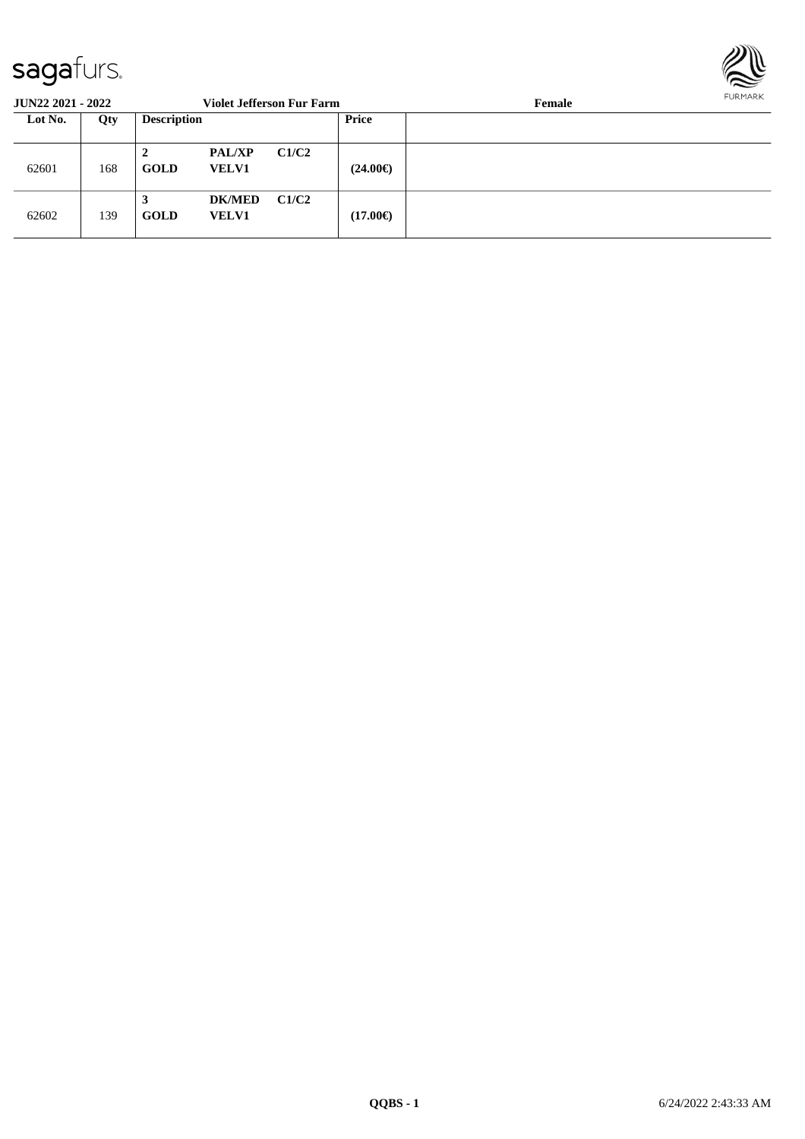

| <b>JUN22 2021 - 2022</b> |     | <b>Violet Jefferson Fur Farm</b> |                               |       |                   | Female | FURMARR |
|--------------------------|-----|----------------------------------|-------------------------------|-------|-------------------|--------|---------|
| Lot No.                  | Qty | <b>Description</b>               |                               |       | <b>Price</b>      |        |         |
| 62601                    | 168 | 2<br><b>GOLD</b>                 | <b>PAL/XP</b><br><b>VELV1</b> | C1/C2 | $(24.00\epsilon)$ |        |         |
| 62602                    | 139 | 3<br><b>GOLD</b>                 | <b>DK/MED</b><br><b>VELV1</b> | C1/C2 | $(17.00\epsilon)$ |        |         |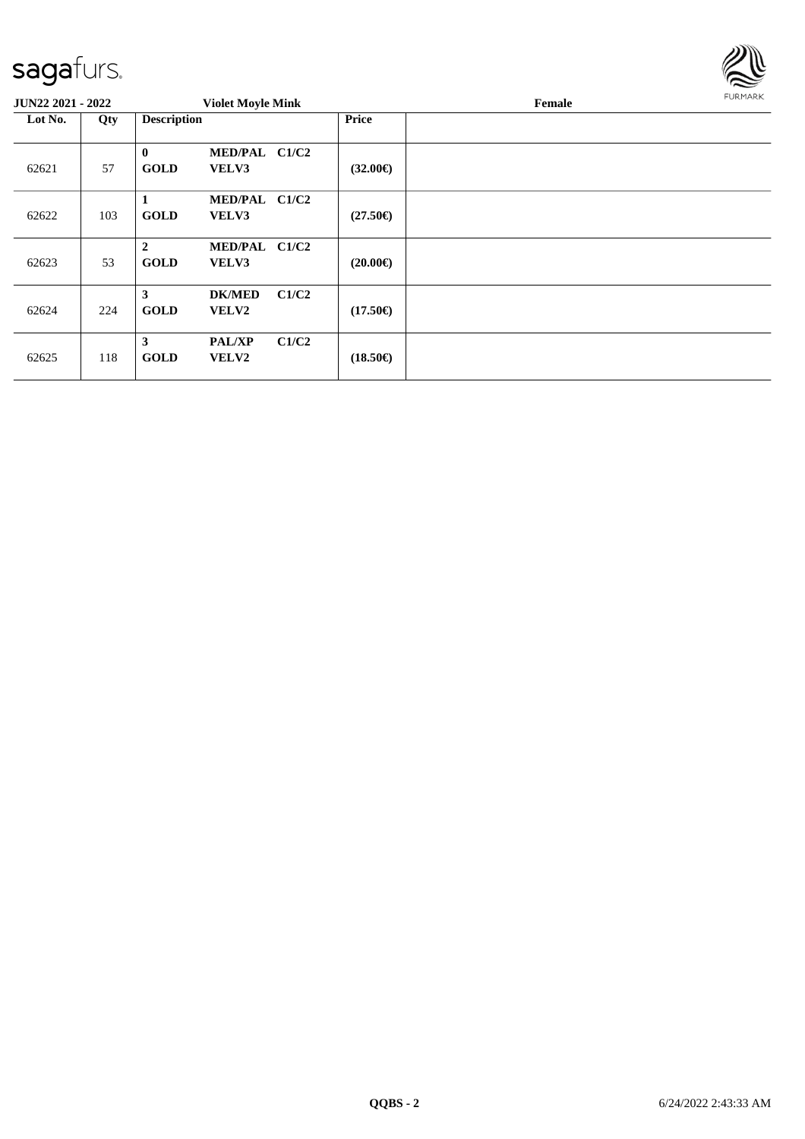

| <b>JUN22 2021 - 2022</b> |     | <b>Violet Moyle Mink</b>                                       |                            | Female | <b>FURMARK</b> |
|--------------------------|-----|----------------------------------------------------------------|----------------------------|--------|----------------|
| Lot No.                  | Qty | <b>Description</b>                                             | Price                      |        |                |
| 62621                    | 57  | $\bf{0}$<br>MED/PAL C1/C2<br><b>GOLD</b><br>VELV3              | $(32.00\epsilon)$          |        |                |
| 62622                    | 103 | MED/PAL C1/C2<br>1<br><b>GOLD</b><br><b>VELV3</b>              | $(27.50\epsilon)$          |        |                |
| 62623                    | 53  | $\overline{2}$<br>MED/PAL C1/C2<br><b>GOLD</b><br><b>VELV3</b> | $(20.00\epsilon)$          |        |                |
| 62624                    | 224 | 3<br><b>DK/MED</b><br><b>GOLD</b><br><b>VELV2</b>              | C1/C2<br>$(17.50\epsilon)$ |        |                |
| 62625                    | 118 | $\mathbf{3}$<br><b>PAL/XP</b><br><b>GOLD</b><br><b>VELV2</b>   | C1/C2<br>$(18.50\epsilon)$ |        |                |